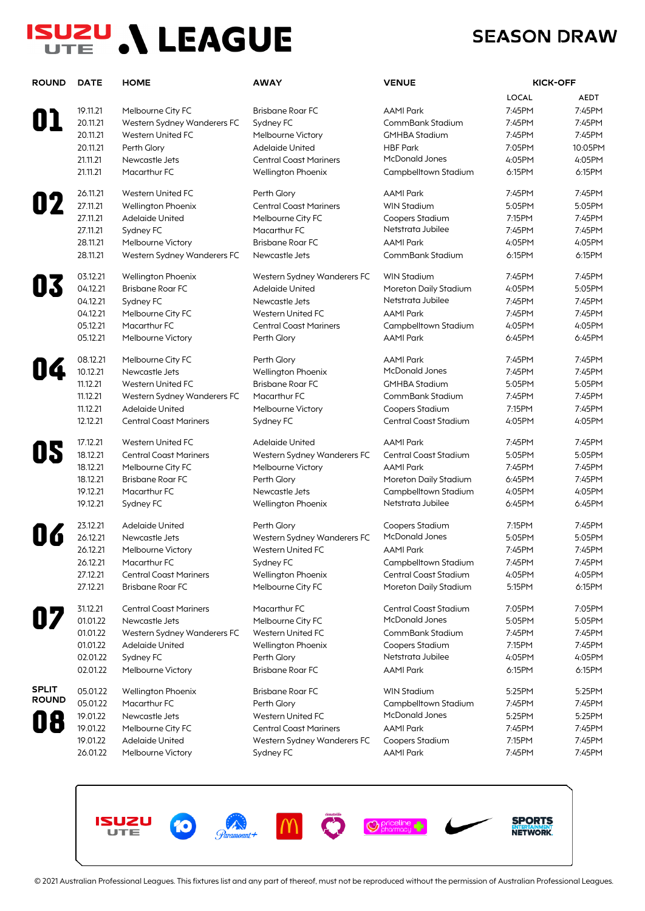# **ISUZU ,\ LEAGUE**

### **SEASON DRAW**

| <b>ROUND</b> | <b>DATE</b> | <b>HOME</b>                   | <b>AWAY</b>                   | <b>VENUE</b>          | <b>KICK-OFF</b> |             |
|--------------|-------------|-------------------------------|-------------------------------|-----------------------|-----------------|-------------|
|              |             |                               |                               |                       | <b>LOCAL</b>    | <b>AEDT</b> |
|              | 19.11.21    | Melbourne City FC             | <b>Brisbane Roar FC</b>       | <b>AAMI Park</b>      | 7:45PM          | 7:45PM      |
|              | 20.11.21    | Western Sydney Wanderers FC   | Sydney FC                     | CommBank Stadium      | 7:45PM          | 7:45PM      |
|              | 20.11.21    | Western United FC             | Melbourne Victory             | <b>GMHBA Stadium</b>  | 7:45PM          | 7:45PM      |
|              | 20.11.21    | Perth Glory                   | Adelaide United               | <b>HBF Park</b>       | 7:05PM          | 10:05PM     |
|              | 21.11.21    | Newcastle Jets                | <b>Central Coast Mariners</b> | <b>McDonald Jones</b> | 4:05PM          | 4:05PM      |
|              | 21.11.21    | Macarthur FC                  | Wellington Phoenix            | Campbelltown Stadium  | 6:15PM          | 6:15PM      |
|              | 26.11.21    | Western United FC             | Perth Glory                   | <b>AAMI Park</b>      | 7:45PM          | 7:45PM      |
| 02           | 27.11.21    | <b>Wellington Phoenix</b>     | <b>Central Coast Mariners</b> | <b>WIN Stadium</b>    | 5:05PM          | 5:05PM      |
|              | 27.11.21    | <b>Adelaide United</b>        | Melbourne City FC             | Coopers Stadium       | 7:15PM          | 7:45PM      |
|              | 27.11.21    | Sydney FC                     | Macarthur FC                  | Netstrata Jubilee     | 7:45PM          | 7:45PM      |
|              | 28.11.21    | Melbourne Victory             | <b>Brisbane Roar FC</b>       | <b>AAMI Park</b>      | 4:05PM          | 4:05PM      |
|              | 28.11.21    | Western Sydney Wanderers FC   | Newcastle Jets                | CommBank Stadium      | 6:15PM          | 6:15PM      |
|              | 03.12.21    | Wellington Phoenix            | Western Sydney Wanderers FC   | <b>WIN Stadium</b>    | 7:45PM          | 7:45PM      |
|              | 04.12.21    | <b>Brisbane Roar FC</b>       | Adelaide United               | Moreton Daily Stadium | 4:05PM          | 5:05PM      |
|              | 04.12.21    | Sydney FC                     | Newcastle Jets                | Netstrata Jubilee     | 7:45PM          | 7:45PM      |
|              | 04.12.21    | Melbourne City FC             | Western United FC             | <b>AAMI Park</b>      | 7:45PM          | 7:45PM      |
|              | 05.12.21    | Macarthur FC                  | <b>Central Coast Mariners</b> | Campbelltown Stadium  | 4:05PM          | 4:05PM      |
|              | 05.12.21    | Melbourne Victory             | Perth Glory                   | <b>AAMI Park</b>      | 6:45PM          | 6:45PM      |
|              | 08.12.21    | Melbourne City FC             | Perth Glory                   | <b>AAMI Park</b>      | 7:45PM          | 7:45PM      |
| I4           | 10.12.21    | Newcastle Jets                | Wellington Phoenix            | <b>McDonald Jones</b> | 7:45PM          | 7:45PM      |
|              | 11.12.21    | Western United FC             | <b>Brisbane Roar FC</b>       | <b>GMHBA Stadium</b>  | 5:05PM          | 5:05PM      |
|              | 11.12.21    | Western Sydney Wanderers FC   | Macarthur FC                  | CommBank Stadium      | 7:45PM          | 7:45PM      |
|              | 11.12.21    | Adelaide United               | Melbourne Victory             | Coopers Stadium       | 7:15PM          | 7:45PM      |
|              | 12.12.21    | <b>Central Coast Mariners</b> | Sydney FC                     | Central Coast Stadium | 4:05PM          | 4:05PM      |
|              | 17.12.21    | Western United FC             | Adelaide United               | <b>AAMI Park</b>      | 7:45PM          | 7:45PM      |
|              | 18.12.21    | <b>Central Coast Mariners</b> | Western Sydney Wanderers FC   | Central Coast Stadium | 5:05PM          | 5:05PM      |
|              | 18.12.21    | Melbourne City FC             | Melbourne Victory             | <b>AAMI Park</b>      | 7:45PM          | 7:45PM      |
|              | 18.12.21    | <b>Brisbane Roar FC</b>       | Perth Glory                   | Moreton Daily Stadium | 6:45PM          | 7:45PM      |
|              | 19.12.21    | Macarthur FC                  | Newcastle Jets                | Campbelltown Stadium  | 4:05PM          | 4:05PM      |
|              | 19.12.21    | Sydney FC                     | <b>Wellington Phoenix</b>     | Netstrata Jubilee     | 6:45PM          | 6:45PM      |
|              | 23.12.21    | <b>Adelaide United</b>        | Perth Glory                   | Coopers Stadium       | 7:15PM          | 7:45PM      |
|              | 26.12.21    | Newcastle Jets                | Western Sydney Wanderers FC   | <b>McDonald Jones</b> | 5:05PM          | 5:05PM      |
|              | 26.12.21    | Melbourne Victory             | Western United FC             | <b>AAMI Park</b>      | 7:45PM          | 7:45PM      |
|              | 26.12.21    | Macarthur FC                  | Sydney FC                     | Campbelltown Stadium  | 7:45PM          | 7:45PM      |
|              | 27.12.21    | <b>Central Coast Mariners</b> | Wellington Phoenix            | Central Coast Stadium | 4:05PM          | 4:05PM      |
|              | 27.12.21    | <b>Brisbane Roar FC</b>       | Melbourne City FC             | Moreton Daily Stadium | 5:15PM          | 6:15PM      |
|              | 31.12.21    | <b>Central Coast Mariners</b> | Macarthur FC                  | Central Coast Stadium | 7:05PM          | 7:05PM      |
|              | 01.01.22    | Newcastle Jets                | Melbourne City FC             | <b>McDonald Jones</b> | 5:05PM          | 5:05PM      |
|              | 01.01.22    | Western Sydney Wanderers FC   | Western United FC             | CommBank Stadium      | 7:45PM          | 7:45PM      |
|              | 01.01.22    | <b>Adelaide United</b>        | Wellington Phoenix            | Coopers Stadium       | 7:15PM          | 7:45PM      |
|              | 02.01.22    | Sydney FC                     | Perth Glory                   | Netstrata Jubilee     | 4:05PM          | 4:05PM      |
|              | 02.01.22    | Melbourne Victory             | <b>Brisbane Roar FC</b>       | <b>AAMI Park</b>      | 6:15PM          | 6:15PM      |
| <b>SPLIT</b> | 05.01.22    | Wellington Phoenix            | <b>Brisbane Roar FC</b>       | <b>WIN Stadium</b>    | 5:25PM          | 5:25PM      |
| <b>ROUND</b> | 05.01.22    | Macarthur FC                  | Perth Glory                   | Campbelltown Stadium  | 7:45PM          | 7:45PM      |
|              | 19.01.22    | Newcastle Jets                | Western United FC             | McDonald Jones        | 5:25PM          | 5:25PM      |
|              | 19.01.22    | Melbourne City FC             | <b>Central Coast Mariners</b> | <b>AAMI Park</b>      | 7:45PM          | 7:45PM      |
|              | 19.01.22    | Adelaide United               | Western Sydney Wanderers FC   | Coopers Stadium       | 7:15PM          | 7:45PM      |
|              | 26.01.22    | Melbourne Victory             | Sydney FC                     | <b>AAMI Park</b>      | 7:45PM          | 7:45PM      |

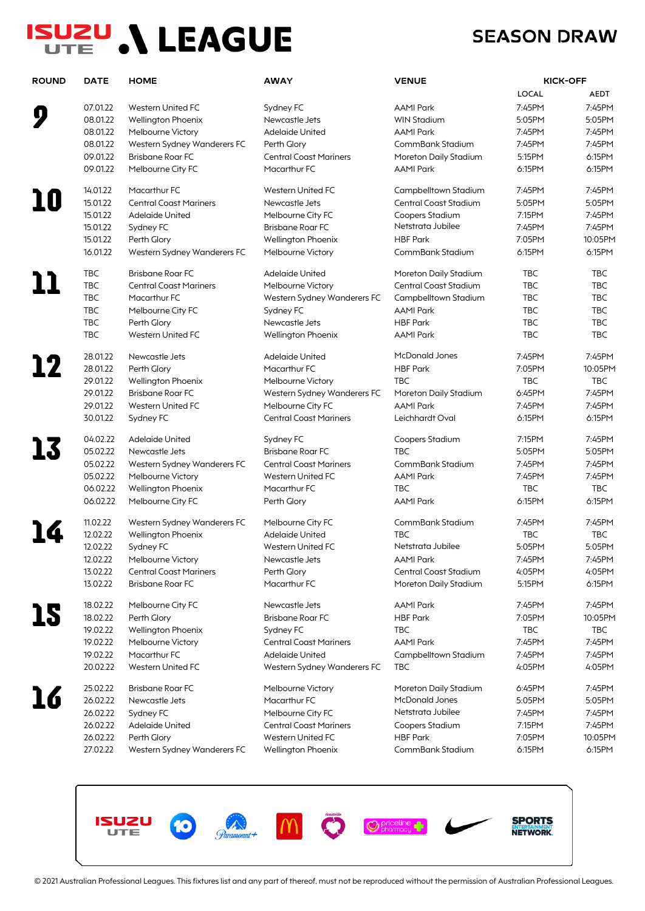# **ISUZU ,\ LEAGUE**

### **SEASON DRAW**

| <b>ROUND</b> | <b>DATE</b>          | <b>HOME</b>                                              | <b>AWAY</b>                   | <b>VENUE</b>                                   |                  | <b>KICK-OFF</b> |
|--------------|----------------------|----------------------------------------------------------|-------------------------------|------------------------------------------------|------------------|-----------------|
|              |                      |                                                          |                               |                                                | LOCAL            | <b>AEDT</b>     |
|              | 07.01.22             | Western United FC                                        | Sydney FC                     | <b>AAMI Park</b>                               | 7:45PM           | 7:45PM          |
|              | 08.01.22             | Wellington Phoenix                                       | Newcastle Jets                | <b>WIN Stadium</b>                             | 5:05PM           | 5:05PM          |
|              | 08.01.22             | Melbourne Victory                                        | <b>Adelaide United</b>        | <b>AAMI Park</b>                               | 7:45PM           | 7:45PM          |
|              | 08.01.22             | Western Sydney Wanderers FC                              | Perth Glory                   | CommBank Stadium                               | 7:45PM           | 7:45PM          |
|              | 09.01.22             | <b>Brisbane Roar FC</b>                                  | <b>Central Coast Mariners</b> | Moreton Daily Stadium                          | 5:15PM           | 6:15PM          |
|              | 09.01.22             | Melbourne City FC                                        | Macarthur FC                  | <b>AAMI Park</b>                               | 6:15PM           | 6:15PM          |
|              | 14.01.22             | Macarthur FC                                             | Western United FC             | Campbelltown Stadium                           | 7:45PM           | 7:45PM          |
|              | 15.01.22             | <b>Central Coast Mariners</b>                            | Newcastle Jets                | Central Coast Stadium                          | 5:05PM           | 5:05PM          |
|              | 15.01.22             | Adelaide United                                          | Melbourne City FC             | Coopers Stadium                                | 7:15PM           | 7:45PM          |
|              | 15.01.22             | Sydney FC                                                | <b>Brisbane Roar FC</b>       | Netstrata Jubilee                              | 7:45PM           | 7:45PM          |
|              |                      |                                                          |                               |                                                |                  |                 |
|              | 15.01.22<br>16.01.22 | Perth Glory                                              | Wellington Phoenix            | <b>HBF Park</b>                                | 7:05PM           | 10:05PM         |
|              |                      | Western Sydney Wanderers FC                              | Melbourne Victory             | CommBank Stadium                               | 6:15PM           | 6:15PM          |
|              | <b>TBC</b>           | <b>Brisbane Roar FC</b>                                  | <b>Adelaide United</b>        | Moreton Daily Stadium                          | <b>TBC</b>       | TBC             |
|              | TBC                  | <b>Central Coast Mariners</b>                            | Melbourne Victory             | Central Coast Stadium                          | <b>TBC</b>       | <b>TBC</b>      |
|              | <b>TBC</b>           | Macarthur FC                                             | Western Sydney Wanderers FC   | Campbelltown Stadium                           | <b>TBC</b>       | TBC             |
|              | <b>TBC</b>           | Melbourne City FC                                        | Sydney FC                     | <b>AAMI Park</b>                               | <b>TBC</b>       | <b>TBC</b>      |
|              | <b>TBC</b>           | Perth Glory                                              | Newcastle Jets                | <b>HBF Park</b>                                | <b>TBC</b>       | <b>TBC</b>      |
|              | <b>TBC</b>           | Western United FC                                        | Wellington Phoenix            | <b>AAMI Park</b>                               | <b>TBC</b>       | <b>TBC</b>      |
|              | 28.01.22             | Newcastle Jets                                           | <b>Adelaide United</b>        | McDonald Jones                                 | 7:45PM           | 7:45PM          |
| 12           | 28.01.22             | Perth Glory                                              | Macarthur FC                  | <b>HBF Park</b>                                | 7:05PM           | 10:05PM         |
|              | 29.01.22             | Wellington Phoenix                                       | Melbourne Victory             | <b>TBC</b>                                     | <b>TBC</b>       | <b>TBC</b>      |
|              | 29.01.22             | <b>Brisbane Roar FC</b>                                  | Western Sydney Wanderers FC   | Moreton Daily Stadium                          | 6:45PM           | 7:45PM          |
|              | 29.01.22             | Western United FC                                        | Melbourne City FC             | <b>AAMI Park</b>                               | 7:45PM           | 7:45PM          |
|              | 30.01.22             | Sydney FC                                                | <b>Central Coast Mariners</b> | Leichhardt Oval                                | 6:15PM           | 6:15PM          |
|              | 04.02.22             | <b>Adelaide United</b>                                   | Sydney FC                     | Coopers Stadium                                | 7:15PM           | 7:45PM          |
|              | 05.02.22             | Newcastle Jets                                           | <b>Brisbane Roar FC</b>       | TBC                                            | 5:05PM           | 5:05PM          |
|              | 05.02.22             | Western Sydney Wanderers FC                              | <b>Central Coast Mariners</b> | CommBank Stadium                               | 7:45PM           | 7:45PM          |
|              | 05.02.22             | Melbourne Victory                                        | Western United FC             | <b>AAMI Park</b>                               | 7:45PM           | 7:45PM          |
|              | 06.02.22             | Wellington Phoenix                                       | Macarthur FC                  | <b>TBC</b>                                     | <b>TBC</b>       | <b>TBC</b>      |
|              | 06.02.22             | Melbourne City FC                                        | Perth Glory                   | <b>AAMI Park</b>                               | 6:15PM           | 6:15PM          |
|              | 11.02.22             |                                                          | Melbourne City FC             | CommBank Stadium                               | 7:45PM           | 7:45PM          |
|              | 12.02.22             | Western Sydney Wanderers FC                              | <b>Adelaide United</b>        | <b>TBC</b>                                     | <b>TBC</b>       | <b>TBC</b>      |
|              | 12.02.22             | Wellington Phoenix                                       | Western United FC             | Netstrata Jubilee                              |                  | 5:05PM          |
|              |                      | Sydney FC                                                |                               |                                                | 5:05PM           |                 |
|              | 12.02.22<br>13.02.22 | Melbourne Victory                                        | Newcastle Jets                | AAMI Park                                      | 7:45PM           | 7:45PM          |
|              | 13.02.22             | <b>Central Coast Mariners</b><br><b>Brisbane Roar FC</b> | Perth Glory<br>Macarthur FC   | Central Coast Stadium<br>Moreton Daily Stadium | 4:05PM<br>5:15PM | 4:05PM          |
|              |                      |                                                          |                               |                                                |                  | 6:15PM          |
|              | 18.02.22             | Melbourne City FC                                        | Newcastle Jets                | <b>AAMI Park</b>                               | 7:45PM           | 7:45PM          |
| 15           | 18.02.22             | Perth Glory                                              | <b>Brisbane Roar FC</b>       | <b>HBF Park</b>                                | 7:05PM           | 10:05PM         |
|              | 19.02.22             | Wellington Phoenix                                       | Sydney FC                     | <b>TBC</b>                                     | <b>TBC</b>       | TBC             |
|              | 19.02.22             | Melbourne Victory                                        | <b>Central Coast Mariners</b> | <b>AAMI Park</b>                               | 7:45PM           | 7:45PM          |
|              | 19.02.22             | Macarthur FC                                             | <b>Adelaide United</b>        | Campbelltown Stadium                           | 7:45PM           | 7:45PM          |
|              | 20.02.22             | Western United FC                                        | Western Sydney Wanderers FC   | <b>TBC</b>                                     | 4:05PM           | 4:05PM          |
|              | 25.02.22             | <b>Brisbane Roar FC</b>                                  | Melbourne Victory             | Moreton Daily Stadium                          | 6:45PM           | 7:45PM          |
|              | 26.02.22             | Newcastle Jets                                           | Macarthur FC                  | McDonald Jones                                 | 5:05PM           | 5:05PM          |
|              | 26.02.22             | Sydney FC                                                | Melbourne City FC             | Netstrata Jubilee                              | 7:45PM           | 7:45PM          |
|              | 26.02.22             | <b>Adelaide United</b>                                   | <b>Central Coast Mariners</b> | Coopers Stadium                                | 7:15PM           | 7:45PM          |
|              | 26.02.22             | Perth Glory                                              | Western United FC             | <b>HBF Park</b>                                | 7:05PM           | 10:05PM         |
|              | 27.02.22             | Western Sydney Wanderers FC                              | Wellington Phoenix            | CommBank Stadium                               | 6:15PM           | 6:15PM          |
|              |                      |                                                          |                               |                                                |                  |                 |

**CO** *Garamount*+ **SPORTS<br>NETWORK** M Q **ISUZU O** priceline ٠ **UTE** 

© 2021 Australian Professional Leagues. This fixtures list and any part of thereof, must not be reproduced without the permission of Australian Professional Leagues.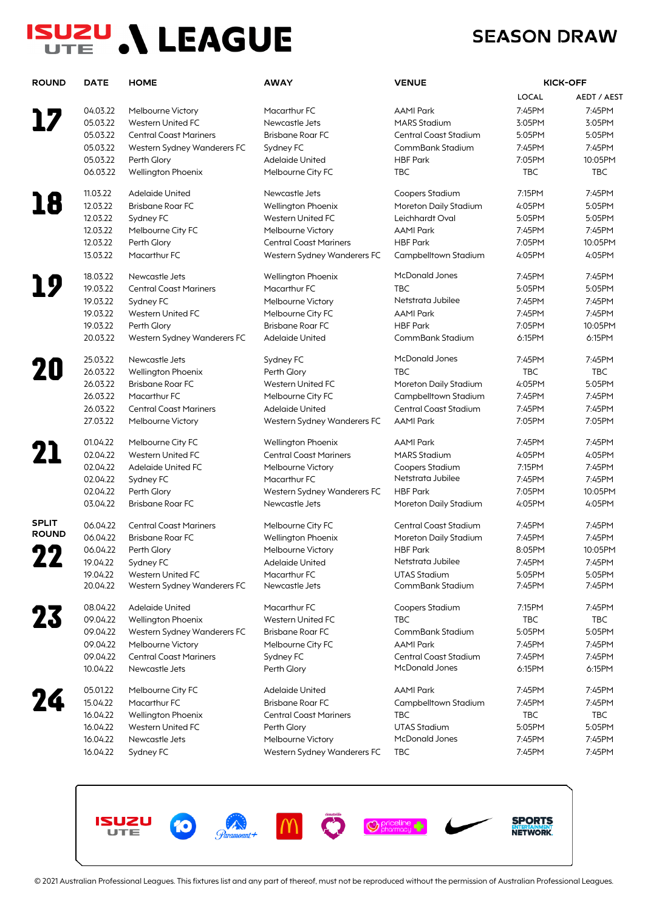# **ISUZU ,\ LEAGUE**

### **SEASON DRAW**

| LOCAL<br>7:45PM<br>04.03.22<br>Macarthur FC<br><b>AAMI Park</b><br>Melbourne Victory<br>05.03.22<br>Western United FC<br>Newcastle Jets<br><b>MARS Stadium</b><br>3:05PM<br>05.03.22<br><b>Central Coast Mariners</b><br><b>Brisbane Roar FC</b><br>Central Coast Stadium<br>5:05PM<br>05.03.22<br>Sydney FC<br>CommBank Stadium<br>7:45PM<br>Western Sydney Wanderers FC<br>05.03.22<br><b>HBF Park</b><br>Perth Glory<br><b>Adelaide United</b><br>7:05PM<br><b>TBC</b><br><b>TBC</b><br>06.03.22<br>Wellington Phoenix<br>Melbourne City FC<br>11.03.22<br>7:15PM<br><b>Adelaide United</b><br>Newcastle Jets<br>Coopers Stadium<br>18<br>12.03.22<br><b>Brisbane Roar FC</b><br>Moreton Daily Stadium<br>4:05PM<br>Wellington Phoenix<br>12.03.22<br>Sydney FC<br>Western United FC<br>Leichhardt Oval<br>5:05PM<br>12.03.22<br>Melbourne City FC<br>Melbourne Victory<br><b>AAMI Park</b><br>7:45PM<br>12.03.22<br><b>HBF Park</b><br>Perth Glory<br><b>Central Coast Mariners</b><br>7:05PM<br>13.03.22<br>Macarthur FC<br>Western Sydney Wanderers FC<br>Campbelltown Stadium<br>4:05PM<br><b>McDonald Jones</b><br>18.03.22<br>Newcastle Jets<br>7:45PM<br>Wellington Phoenix<br>19.03.22<br><b>TBC</b><br>Macarthur FC<br>5:05PM<br><b>Central Coast Mariners</b><br>Netstrata Jubilee<br>19.03.22<br>Melbourne Victory<br>7:45PM<br>Sydney FC<br>19.03.22<br>Western United FC<br>Melbourne City FC<br><b>AAMI Park</b><br>7:45PM<br>19.03.22<br><b>Brisbane Roar FC</b><br><b>HBF Park</b><br>7:05PM<br>Perth Glory<br>20.03.22<br>Western Sydney Wanderers FC<br>Adelaide United<br>CommBank Stadium<br>6:15PM<br><b>McDonald Jones</b><br>25.03.22<br>Newcastle Jets<br>7:45PM<br>Sydney FC<br>20<br>26.03.22<br><b>TBC</b><br><b>TBC</b><br>Wellington Phoenix<br>Perth Glory<br>26.03.22<br>4:05PM<br><b>Brisbane Roar FC</b><br>Western United FC<br>Moreton Daily Stadium<br>26.03.22<br>Macarthur FC<br>7:45PM<br>Melbourne City FC<br>Campbelltown Stadium<br>26.03.22<br>7:45PM<br><b>Central Coast Mariners</b><br>Central Coast Stadium<br>Adelaide United<br>27.03.22<br>Western Sydney Wanderers FC<br><b>AAMI Park</b><br>7:05PM<br>Melbourne Victory<br>01.04.22<br><b>AAMI Park</b><br>7:45PM<br>Melbourne City FC<br>Wellington Phoenix<br>21<br>02.04.22<br>Western United FC<br><b>Central Coast Mariners</b><br><b>MARS Stadium</b><br>4:05PM<br>02.04.22<br>Adelaide United FC<br>7:15PM<br>Melbourne Victory<br>Coopers Stadium<br>Netstrata Jubilee<br>02.04.22<br>Macarthur FC<br>7:45PM<br>Sydney FC<br>02.04.22<br>Perth Glory<br><b>HBF Park</b><br>7:05PM<br>Western Sydney Wanderers FC<br>03.04.22<br><b>Brisbane Roar FC</b><br>Newcastle Jets<br>4:05PM<br>Moreton Daily Stadium<br><b>SPLIT</b><br>06.04.22<br>Central Coast Stadium<br>7:45PM<br><b>Central Coast Mariners</b><br>Melbourne City FC<br><b>ROUND</b><br>06.04.22<br><b>Brisbane Roar FC</b><br>Wellington Phoenix<br>Moreton Daily Stadium<br>7:45PM<br>06.04.22<br>Perth Glory<br>Melbourne Victory<br><b>HBF Park</b><br>8:05PM<br>Netstrata Jubilee<br>19.04.22<br>Adelaide United<br>7:45PM<br>Sydney FC<br>19.04.22<br>Western United FC<br>Macarthur FC<br><b>UTAS Stadium</b><br>5:05PM<br>20.04.22<br>7:45PM<br>Western Sydney Wanderers FC<br>Newcastle Jets<br>CommBank Stadium<br>08.04.22<br>Adelaide United<br>Macarthur FC<br>Coopers Stadium<br>7:15PM<br>23<br>09.04.22<br>Wellington Phoenix<br>Western United FC<br><b>TBC</b><br><b>TBC</b><br>09.04.22<br>Western Sydney Wanderers FC<br><b>Brisbane Roar FC</b><br>CommBank Stadium<br>5:05PM<br>09.04.22<br><b>AAMI Park</b><br>7:45PM<br>Melbourne Victory<br>Melbourne City FC<br>09.04.22<br><b>Central Coast Mariners</b><br>Central Coast Stadium<br>7:45PM<br>Sydney FC<br><b>McDonald Jones</b><br>10.04.22<br>Newcastle Jets<br>Perth Glory<br>6:15PM<br>05.01.22<br><b>Adelaide United</b><br><b>AAMI Park</b><br>7:45PM<br>Melbourne City FC<br>15.04.22<br>Macarthur FC<br><b>Brisbane Roar FC</b><br>Campbelltown Stadium<br>7:45PM<br>16.04.22<br>Wellington Phoenix<br><b>Central Coast Mariners</b><br>TBC<br>TBC<br><b>UTAS Stadium</b><br>16.04.22<br>5:05PM<br>Western United FC<br>Perth Glory<br>McDonald Jones<br>16.04.22<br>Newcastle Jets<br>Melbourne Victory<br>7:45PM<br>TBC | <b>ROUND</b> | <b>DATE</b> | <b>HOME</b> | <b>AWAY</b>                 | <b>VENUE</b> |        | <b>KICK-OFF</b> |
|-------------------------------------------------------------------------------------------------------------------------------------------------------------------------------------------------------------------------------------------------------------------------------------------------------------------------------------------------------------------------------------------------------------------------------------------------------------------------------------------------------------------------------------------------------------------------------------------------------------------------------------------------------------------------------------------------------------------------------------------------------------------------------------------------------------------------------------------------------------------------------------------------------------------------------------------------------------------------------------------------------------------------------------------------------------------------------------------------------------------------------------------------------------------------------------------------------------------------------------------------------------------------------------------------------------------------------------------------------------------------------------------------------------------------------------------------------------------------------------------------------------------------------------------------------------------------------------------------------------------------------------------------------------------------------------------------------------------------------------------------------------------------------------------------------------------------------------------------------------------------------------------------------------------------------------------------------------------------------------------------------------------------------------------------------------------------------------------------------------------------------------------------------------------------------------------------------------------------------------------------------------------------------------------------------------------------------------------------------------------------------------------------------------------------------------------------------------------------------------------------------------------------------------------------------------------------------------------------------------------------------------------------------------------------------------------------------------------------------------------------------------------------------------------------------------------------------------------------------------------------------------------------------------------------------------------------------------------------------------------------------------------------------------------------------------------------------------------------------------------------------------------------------------------------------------------------------------------------------------------------------------------------------------------------------------------------------------------------------------------------------------------------------------------------------------------------------------------------------------------------------------------------------------------------------------------------------------------------------------------------------------------------------------------------------------------------------------------------------------------------------------------------------------------------------------------------------------------------------------------------------------------------------------------------------------------------------------------------------------------------------------------------------------------------------------------------------------------------------------------------------------------------------------------------------------------------------------------------------------------------------------------------------------------|--------------|-------------|-------------|-----------------------------|--------------|--------|-----------------|
|                                                                                                                                                                                                                                                                                                                                                                                                                                                                                                                                                                                                                                                                                                                                                                                                                                                                                                                                                                                                                                                                                                                                                                                                                                                                                                                                                                                                                                                                                                                                                                                                                                                                                                                                                                                                                                                                                                                                                                                                                                                                                                                                                                                                                                                                                                                                                                                                                                                                                                                                                                                                                                                                                                                                                                                                                                                                                                                                                                                                                                                                                                                                                                                                                                                                                                                                                                                                                                                                                                                                                                                                                                                                                                                                                                                                                                                                                                                                                                                                                                                                                                                                                                                                                                                                                           |              |             |             |                             |              |        | AEDT / AEST     |
|                                                                                                                                                                                                                                                                                                                                                                                                                                                                                                                                                                                                                                                                                                                                                                                                                                                                                                                                                                                                                                                                                                                                                                                                                                                                                                                                                                                                                                                                                                                                                                                                                                                                                                                                                                                                                                                                                                                                                                                                                                                                                                                                                                                                                                                                                                                                                                                                                                                                                                                                                                                                                                                                                                                                                                                                                                                                                                                                                                                                                                                                                                                                                                                                                                                                                                                                                                                                                                                                                                                                                                                                                                                                                                                                                                                                                                                                                                                                                                                                                                                                                                                                                                                                                                                                                           |              |             |             |                             |              |        | 7:45PM          |
|                                                                                                                                                                                                                                                                                                                                                                                                                                                                                                                                                                                                                                                                                                                                                                                                                                                                                                                                                                                                                                                                                                                                                                                                                                                                                                                                                                                                                                                                                                                                                                                                                                                                                                                                                                                                                                                                                                                                                                                                                                                                                                                                                                                                                                                                                                                                                                                                                                                                                                                                                                                                                                                                                                                                                                                                                                                                                                                                                                                                                                                                                                                                                                                                                                                                                                                                                                                                                                                                                                                                                                                                                                                                                                                                                                                                                                                                                                                                                                                                                                                                                                                                                                                                                                                                                           |              |             |             |                             |              |        | 3:05PM          |
|                                                                                                                                                                                                                                                                                                                                                                                                                                                                                                                                                                                                                                                                                                                                                                                                                                                                                                                                                                                                                                                                                                                                                                                                                                                                                                                                                                                                                                                                                                                                                                                                                                                                                                                                                                                                                                                                                                                                                                                                                                                                                                                                                                                                                                                                                                                                                                                                                                                                                                                                                                                                                                                                                                                                                                                                                                                                                                                                                                                                                                                                                                                                                                                                                                                                                                                                                                                                                                                                                                                                                                                                                                                                                                                                                                                                                                                                                                                                                                                                                                                                                                                                                                                                                                                                                           |              |             |             |                             |              |        | 5:05PM          |
|                                                                                                                                                                                                                                                                                                                                                                                                                                                                                                                                                                                                                                                                                                                                                                                                                                                                                                                                                                                                                                                                                                                                                                                                                                                                                                                                                                                                                                                                                                                                                                                                                                                                                                                                                                                                                                                                                                                                                                                                                                                                                                                                                                                                                                                                                                                                                                                                                                                                                                                                                                                                                                                                                                                                                                                                                                                                                                                                                                                                                                                                                                                                                                                                                                                                                                                                                                                                                                                                                                                                                                                                                                                                                                                                                                                                                                                                                                                                                                                                                                                                                                                                                                                                                                                                                           |              |             |             |                             |              |        | 7:45PM          |
|                                                                                                                                                                                                                                                                                                                                                                                                                                                                                                                                                                                                                                                                                                                                                                                                                                                                                                                                                                                                                                                                                                                                                                                                                                                                                                                                                                                                                                                                                                                                                                                                                                                                                                                                                                                                                                                                                                                                                                                                                                                                                                                                                                                                                                                                                                                                                                                                                                                                                                                                                                                                                                                                                                                                                                                                                                                                                                                                                                                                                                                                                                                                                                                                                                                                                                                                                                                                                                                                                                                                                                                                                                                                                                                                                                                                                                                                                                                                                                                                                                                                                                                                                                                                                                                                                           |              |             |             |                             |              |        | 10:05PM         |
|                                                                                                                                                                                                                                                                                                                                                                                                                                                                                                                                                                                                                                                                                                                                                                                                                                                                                                                                                                                                                                                                                                                                                                                                                                                                                                                                                                                                                                                                                                                                                                                                                                                                                                                                                                                                                                                                                                                                                                                                                                                                                                                                                                                                                                                                                                                                                                                                                                                                                                                                                                                                                                                                                                                                                                                                                                                                                                                                                                                                                                                                                                                                                                                                                                                                                                                                                                                                                                                                                                                                                                                                                                                                                                                                                                                                                                                                                                                                                                                                                                                                                                                                                                                                                                                                                           |              |             |             |                             |              |        | <b>TBC</b>      |
|                                                                                                                                                                                                                                                                                                                                                                                                                                                                                                                                                                                                                                                                                                                                                                                                                                                                                                                                                                                                                                                                                                                                                                                                                                                                                                                                                                                                                                                                                                                                                                                                                                                                                                                                                                                                                                                                                                                                                                                                                                                                                                                                                                                                                                                                                                                                                                                                                                                                                                                                                                                                                                                                                                                                                                                                                                                                                                                                                                                                                                                                                                                                                                                                                                                                                                                                                                                                                                                                                                                                                                                                                                                                                                                                                                                                                                                                                                                                                                                                                                                                                                                                                                                                                                                                                           |              |             |             |                             |              |        | 7:45PM          |
|                                                                                                                                                                                                                                                                                                                                                                                                                                                                                                                                                                                                                                                                                                                                                                                                                                                                                                                                                                                                                                                                                                                                                                                                                                                                                                                                                                                                                                                                                                                                                                                                                                                                                                                                                                                                                                                                                                                                                                                                                                                                                                                                                                                                                                                                                                                                                                                                                                                                                                                                                                                                                                                                                                                                                                                                                                                                                                                                                                                                                                                                                                                                                                                                                                                                                                                                                                                                                                                                                                                                                                                                                                                                                                                                                                                                                                                                                                                                                                                                                                                                                                                                                                                                                                                                                           |              |             |             |                             |              |        | 5:05PM          |
|                                                                                                                                                                                                                                                                                                                                                                                                                                                                                                                                                                                                                                                                                                                                                                                                                                                                                                                                                                                                                                                                                                                                                                                                                                                                                                                                                                                                                                                                                                                                                                                                                                                                                                                                                                                                                                                                                                                                                                                                                                                                                                                                                                                                                                                                                                                                                                                                                                                                                                                                                                                                                                                                                                                                                                                                                                                                                                                                                                                                                                                                                                                                                                                                                                                                                                                                                                                                                                                                                                                                                                                                                                                                                                                                                                                                                                                                                                                                                                                                                                                                                                                                                                                                                                                                                           |              |             |             |                             |              |        | 5:05PM          |
|                                                                                                                                                                                                                                                                                                                                                                                                                                                                                                                                                                                                                                                                                                                                                                                                                                                                                                                                                                                                                                                                                                                                                                                                                                                                                                                                                                                                                                                                                                                                                                                                                                                                                                                                                                                                                                                                                                                                                                                                                                                                                                                                                                                                                                                                                                                                                                                                                                                                                                                                                                                                                                                                                                                                                                                                                                                                                                                                                                                                                                                                                                                                                                                                                                                                                                                                                                                                                                                                                                                                                                                                                                                                                                                                                                                                                                                                                                                                                                                                                                                                                                                                                                                                                                                                                           |              |             |             |                             |              |        | 7:45PM          |
|                                                                                                                                                                                                                                                                                                                                                                                                                                                                                                                                                                                                                                                                                                                                                                                                                                                                                                                                                                                                                                                                                                                                                                                                                                                                                                                                                                                                                                                                                                                                                                                                                                                                                                                                                                                                                                                                                                                                                                                                                                                                                                                                                                                                                                                                                                                                                                                                                                                                                                                                                                                                                                                                                                                                                                                                                                                                                                                                                                                                                                                                                                                                                                                                                                                                                                                                                                                                                                                                                                                                                                                                                                                                                                                                                                                                                                                                                                                                                                                                                                                                                                                                                                                                                                                                                           |              |             |             |                             |              |        | 10:05PM         |
|                                                                                                                                                                                                                                                                                                                                                                                                                                                                                                                                                                                                                                                                                                                                                                                                                                                                                                                                                                                                                                                                                                                                                                                                                                                                                                                                                                                                                                                                                                                                                                                                                                                                                                                                                                                                                                                                                                                                                                                                                                                                                                                                                                                                                                                                                                                                                                                                                                                                                                                                                                                                                                                                                                                                                                                                                                                                                                                                                                                                                                                                                                                                                                                                                                                                                                                                                                                                                                                                                                                                                                                                                                                                                                                                                                                                                                                                                                                                                                                                                                                                                                                                                                                                                                                                                           |              |             |             |                             |              |        | 4:05PM          |
|                                                                                                                                                                                                                                                                                                                                                                                                                                                                                                                                                                                                                                                                                                                                                                                                                                                                                                                                                                                                                                                                                                                                                                                                                                                                                                                                                                                                                                                                                                                                                                                                                                                                                                                                                                                                                                                                                                                                                                                                                                                                                                                                                                                                                                                                                                                                                                                                                                                                                                                                                                                                                                                                                                                                                                                                                                                                                                                                                                                                                                                                                                                                                                                                                                                                                                                                                                                                                                                                                                                                                                                                                                                                                                                                                                                                                                                                                                                                                                                                                                                                                                                                                                                                                                                                                           |              |             |             |                             |              |        | 7:45PM          |
|                                                                                                                                                                                                                                                                                                                                                                                                                                                                                                                                                                                                                                                                                                                                                                                                                                                                                                                                                                                                                                                                                                                                                                                                                                                                                                                                                                                                                                                                                                                                                                                                                                                                                                                                                                                                                                                                                                                                                                                                                                                                                                                                                                                                                                                                                                                                                                                                                                                                                                                                                                                                                                                                                                                                                                                                                                                                                                                                                                                                                                                                                                                                                                                                                                                                                                                                                                                                                                                                                                                                                                                                                                                                                                                                                                                                                                                                                                                                                                                                                                                                                                                                                                                                                                                                                           |              |             |             |                             |              |        | 5:05PM          |
|                                                                                                                                                                                                                                                                                                                                                                                                                                                                                                                                                                                                                                                                                                                                                                                                                                                                                                                                                                                                                                                                                                                                                                                                                                                                                                                                                                                                                                                                                                                                                                                                                                                                                                                                                                                                                                                                                                                                                                                                                                                                                                                                                                                                                                                                                                                                                                                                                                                                                                                                                                                                                                                                                                                                                                                                                                                                                                                                                                                                                                                                                                                                                                                                                                                                                                                                                                                                                                                                                                                                                                                                                                                                                                                                                                                                                                                                                                                                                                                                                                                                                                                                                                                                                                                                                           |              |             |             |                             |              |        | 7:45PM          |
|                                                                                                                                                                                                                                                                                                                                                                                                                                                                                                                                                                                                                                                                                                                                                                                                                                                                                                                                                                                                                                                                                                                                                                                                                                                                                                                                                                                                                                                                                                                                                                                                                                                                                                                                                                                                                                                                                                                                                                                                                                                                                                                                                                                                                                                                                                                                                                                                                                                                                                                                                                                                                                                                                                                                                                                                                                                                                                                                                                                                                                                                                                                                                                                                                                                                                                                                                                                                                                                                                                                                                                                                                                                                                                                                                                                                                                                                                                                                                                                                                                                                                                                                                                                                                                                                                           |              |             |             |                             |              |        | 7:45PM          |
|                                                                                                                                                                                                                                                                                                                                                                                                                                                                                                                                                                                                                                                                                                                                                                                                                                                                                                                                                                                                                                                                                                                                                                                                                                                                                                                                                                                                                                                                                                                                                                                                                                                                                                                                                                                                                                                                                                                                                                                                                                                                                                                                                                                                                                                                                                                                                                                                                                                                                                                                                                                                                                                                                                                                                                                                                                                                                                                                                                                                                                                                                                                                                                                                                                                                                                                                                                                                                                                                                                                                                                                                                                                                                                                                                                                                                                                                                                                                                                                                                                                                                                                                                                                                                                                                                           |              |             |             |                             |              |        | 10:05PM         |
|                                                                                                                                                                                                                                                                                                                                                                                                                                                                                                                                                                                                                                                                                                                                                                                                                                                                                                                                                                                                                                                                                                                                                                                                                                                                                                                                                                                                                                                                                                                                                                                                                                                                                                                                                                                                                                                                                                                                                                                                                                                                                                                                                                                                                                                                                                                                                                                                                                                                                                                                                                                                                                                                                                                                                                                                                                                                                                                                                                                                                                                                                                                                                                                                                                                                                                                                                                                                                                                                                                                                                                                                                                                                                                                                                                                                                                                                                                                                                                                                                                                                                                                                                                                                                                                                                           |              |             |             |                             |              |        | 6:15PM          |
|                                                                                                                                                                                                                                                                                                                                                                                                                                                                                                                                                                                                                                                                                                                                                                                                                                                                                                                                                                                                                                                                                                                                                                                                                                                                                                                                                                                                                                                                                                                                                                                                                                                                                                                                                                                                                                                                                                                                                                                                                                                                                                                                                                                                                                                                                                                                                                                                                                                                                                                                                                                                                                                                                                                                                                                                                                                                                                                                                                                                                                                                                                                                                                                                                                                                                                                                                                                                                                                                                                                                                                                                                                                                                                                                                                                                                                                                                                                                                                                                                                                                                                                                                                                                                                                                                           |              |             |             |                             |              |        | 7:45PM          |
|                                                                                                                                                                                                                                                                                                                                                                                                                                                                                                                                                                                                                                                                                                                                                                                                                                                                                                                                                                                                                                                                                                                                                                                                                                                                                                                                                                                                                                                                                                                                                                                                                                                                                                                                                                                                                                                                                                                                                                                                                                                                                                                                                                                                                                                                                                                                                                                                                                                                                                                                                                                                                                                                                                                                                                                                                                                                                                                                                                                                                                                                                                                                                                                                                                                                                                                                                                                                                                                                                                                                                                                                                                                                                                                                                                                                                                                                                                                                                                                                                                                                                                                                                                                                                                                                                           |              |             |             |                             |              |        | <b>TBC</b>      |
|                                                                                                                                                                                                                                                                                                                                                                                                                                                                                                                                                                                                                                                                                                                                                                                                                                                                                                                                                                                                                                                                                                                                                                                                                                                                                                                                                                                                                                                                                                                                                                                                                                                                                                                                                                                                                                                                                                                                                                                                                                                                                                                                                                                                                                                                                                                                                                                                                                                                                                                                                                                                                                                                                                                                                                                                                                                                                                                                                                                                                                                                                                                                                                                                                                                                                                                                                                                                                                                                                                                                                                                                                                                                                                                                                                                                                                                                                                                                                                                                                                                                                                                                                                                                                                                                                           |              |             |             |                             |              |        | 5:05PM          |
|                                                                                                                                                                                                                                                                                                                                                                                                                                                                                                                                                                                                                                                                                                                                                                                                                                                                                                                                                                                                                                                                                                                                                                                                                                                                                                                                                                                                                                                                                                                                                                                                                                                                                                                                                                                                                                                                                                                                                                                                                                                                                                                                                                                                                                                                                                                                                                                                                                                                                                                                                                                                                                                                                                                                                                                                                                                                                                                                                                                                                                                                                                                                                                                                                                                                                                                                                                                                                                                                                                                                                                                                                                                                                                                                                                                                                                                                                                                                                                                                                                                                                                                                                                                                                                                                                           |              |             |             |                             |              |        | 7:45PM          |
|                                                                                                                                                                                                                                                                                                                                                                                                                                                                                                                                                                                                                                                                                                                                                                                                                                                                                                                                                                                                                                                                                                                                                                                                                                                                                                                                                                                                                                                                                                                                                                                                                                                                                                                                                                                                                                                                                                                                                                                                                                                                                                                                                                                                                                                                                                                                                                                                                                                                                                                                                                                                                                                                                                                                                                                                                                                                                                                                                                                                                                                                                                                                                                                                                                                                                                                                                                                                                                                                                                                                                                                                                                                                                                                                                                                                                                                                                                                                                                                                                                                                                                                                                                                                                                                                                           |              |             |             |                             |              |        | 7:45PM          |
|                                                                                                                                                                                                                                                                                                                                                                                                                                                                                                                                                                                                                                                                                                                                                                                                                                                                                                                                                                                                                                                                                                                                                                                                                                                                                                                                                                                                                                                                                                                                                                                                                                                                                                                                                                                                                                                                                                                                                                                                                                                                                                                                                                                                                                                                                                                                                                                                                                                                                                                                                                                                                                                                                                                                                                                                                                                                                                                                                                                                                                                                                                                                                                                                                                                                                                                                                                                                                                                                                                                                                                                                                                                                                                                                                                                                                                                                                                                                                                                                                                                                                                                                                                                                                                                                                           |              |             |             |                             |              |        | 7:05PM          |
|                                                                                                                                                                                                                                                                                                                                                                                                                                                                                                                                                                                                                                                                                                                                                                                                                                                                                                                                                                                                                                                                                                                                                                                                                                                                                                                                                                                                                                                                                                                                                                                                                                                                                                                                                                                                                                                                                                                                                                                                                                                                                                                                                                                                                                                                                                                                                                                                                                                                                                                                                                                                                                                                                                                                                                                                                                                                                                                                                                                                                                                                                                                                                                                                                                                                                                                                                                                                                                                                                                                                                                                                                                                                                                                                                                                                                                                                                                                                                                                                                                                                                                                                                                                                                                                                                           |              |             |             |                             |              |        | 7:45PM          |
|                                                                                                                                                                                                                                                                                                                                                                                                                                                                                                                                                                                                                                                                                                                                                                                                                                                                                                                                                                                                                                                                                                                                                                                                                                                                                                                                                                                                                                                                                                                                                                                                                                                                                                                                                                                                                                                                                                                                                                                                                                                                                                                                                                                                                                                                                                                                                                                                                                                                                                                                                                                                                                                                                                                                                                                                                                                                                                                                                                                                                                                                                                                                                                                                                                                                                                                                                                                                                                                                                                                                                                                                                                                                                                                                                                                                                                                                                                                                                                                                                                                                                                                                                                                                                                                                                           |              |             |             |                             |              |        | 4:05PM          |
|                                                                                                                                                                                                                                                                                                                                                                                                                                                                                                                                                                                                                                                                                                                                                                                                                                                                                                                                                                                                                                                                                                                                                                                                                                                                                                                                                                                                                                                                                                                                                                                                                                                                                                                                                                                                                                                                                                                                                                                                                                                                                                                                                                                                                                                                                                                                                                                                                                                                                                                                                                                                                                                                                                                                                                                                                                                                                                                                                                                                                                                                                                                                                                                                                                                                                                                                                                                                                                                                                                                                                                                                                                                                                                                                                                                                                                                                                                                                                                                                                                                                                                                                                                                                                                                                                           |              |             |             |                             |              |        | 7:45PM          |
|                                                                                                                                                                                                                                                                                                                                                                                                                                                                                                                                                                                                                                                                                                                                                                                                                                                                                                                                                                                                                                                                                                                                                                                                                                                                                                                                                                                                                                                                                                                                                                                                                                                                                                                                                                                                                                                                                                                                                                                                                                                                                                                                                                                                                                                                                                                                                                                                                                                                                                                                                                                                                                                                                                                                                                                                                                                                                                                                                                                                                                                                                                                                                                                                                                                                                                                                                                                                                                                                                                                                                                                                                                                                                                                                                                                                                                                                                                                                                                                                                                                                                                                                                                                                                                                                                           |              |             |             |                             |              |        | 7:45PM          |
|                                                                                                                                                                                                                                                                                                                                                                                                                                                                                                                                                                                                                                                                                                                                                                                                                                                                                                                                                                                                                                                                                                                                                                                                                                                                                                                                                                                                                                                                                                                                                                                                                                                                                                                                                                                                                                                                                                                                                                                                                                                                                                                                                                                                                                                                                                                                                                                                                                                                                                                                                                                                                                                                                                                                                                                                                                                                                                                                                                                                                                                                                                                                                                                                                                                                                                                                                                                                                                                                                                                                                                                                                                                                                                                                                                                                                                                                                                                                                                                                                                                                                                                                                                                                                                                                                           |              |             |             |                             |              |        | 10:05PM         |
|                                                                                                                                                                                                                                                                                                                                                                                                                                                                                                                                                                                                                                                                                                                                                                                                                                                                                                                                                                                                                                                                                                                                                                                                                                                                                                                                                                                                                                                                                                                                                                                                                                                                                                                                                                                                                                                                                                                                                                                                                                                                                                                                                                                                                                                                                                                                                                                                                                                                                                                                                                                                                                                                                                                                                                                                                                                                                                                                                                                                                                                                                                                                                                                                                                                                                                                                                                                                                                                                                                                                                                                                                                                                                                                                                                                                                                                                                                                                                                                                                                                                                                                                                                                                                                                                                           |              |             |             |                             |              |        | 4:05PM          |
|                                                                                                                                                                                                                                                                                                                                                                                                                                                                                                                                                                                                                                                                                                                                                                                                                                                                                                                                                                                                                                                                                                                                                                                                                                                                                                                                                                                                                                                                                                                                                                                                                                                                                                                                                                                                                                                                                                                                                                                                                                                                                                                                                                                                                                                                                                                                                                                                                                                                                                                                                                                                                                                                                                                                                                                                                                                                                                                                                                                                                                                                                                                                                                                                                                                                                                                                                                                                                                                                                                                                                                                                                                                                                                                                                                                                                                                                                                                                                                                                                                                                                                                                                                                                                                                                                           |              |             |             |                             |              |        | 7:45PM          |
|                                                                                                                                                                                                                                                                                                                                                                                                                                                                                                                                                                                                                                                                                                                                                                                                                                                                                                                                                                                                                                                                                                                                                                                                                                                                                                                                                                                                                                                                                                                                                                                                                                                                                                                                                                                                                                                                                                                                                                                                                                                                                                                                                                                                                                                                                                                                                                                                                                                                                                                                                                                                                                                                                                                                                                                                                                                                                                                                                                                                                                                                                                                                                                                                                                                                                                                                                                                                                                                                                                                                                                                                                                                                                                                                                                                                                                                                                                                                                                                                                                                                                                                                                                                                                                                                                           |              |             |             |                             |              |        | 7:45PM          |
|                                                                                                                                                                                                                                                                                                                                                                                                                                                                                                                                                                                                                                                                                                                                                                                                                                                                                                                                                                                                                                                                                                                                                                                                                                                                                                                                                                                                                                                                                                                                                                                                                                                                                                                                                                                                                                                                                                                                                                                                                                                                                                                                                                                                                                                                                                                                                                                                                                                                                                                                                                                                                                                                                                                                                                                                                                                                                                                                                                                                                                                                                                                                                                                                                                                                                                                                                                                                                                                                                                                                                                                                                                                                                                                                                                                                                                                                                                                                                                                                                                                                                                                                                                                                                                                                                           |              |             |             |                             |              |        | 10:05PM         |
|                                                                                                                                                                                                                                                                                                                                                                                                                                                                                                                                                                                                                                                                                                                                                                                                                                                                                                                                                                                                                                                                                                                                                                                                                                                                                                                                                                                                                                                                                                                                                                                                                                                                                                                                                                                                                                                                                                                                                                                                                                                                                                                                                                                                                                                                                                                                                                                                                                                                                                                                                                                                                                                                                                                                                                                                                                                                                                                                                                                                                                                                                                                                                                                                                                                                                                                                                                                                                                                                                                                                                                                                                                                                                                                                                                                                                                                                                                                                                                                                                                                                                                                                                                                                                                                                                           |              |             |             |                             |              |        | 7:45PM          |
|                                                                                                                                                                                                                                                                                                                                                                                                                                                                                                                                                                                                                                                                                                                                                                                                                                                                                                                                                                                                                                                                                                                                                                                                                                                                                                                                                                                                                                                                                                                                                                                                                                                                                                                                                                                                                                                                                                                                                                                                                                                                                                                                                                                                                                                                                                                                                                                                                                                                                                                                                                                                                                                                                                                                                                                                                                                                                                                                                                                                                                                                                                                                                                                                                                                                                                                                                                                                                                                                                                                                                                                                                                                                                                                                                                                                                                                                                                                                                                                                                                                                                                                                                                                                                                                                                           |              |             |             |                             |              |        | 5:05PM          |
|                                                                                                                                                                                                                                                                                                                                                                                                                                                                                                                                                                                                                                                                                                                                                                                                                                                                                                                                                                                                                                                                                                                                                                                                                                                                                                                                                                                                                                                                                                                                                                                                                                                                                                                                                                                                                                                                                                                                                                                                                                                                                                                                                                                                                                                                                                                                                                                                                                                                                                                                                                                                                                                                                                                                                                                                                                                                                                                                                                                                                                                                                                                                                                                                                                                                                                                                                                                                                                                                                                                                                                                                                                                                                                                                                                                                                                                                                                                                                                                                                                                                                                                                                                                                                                                                                           |              |             |             |                             |              |        | 7:45PM          |
|                                                                                                                                                                                                                                                                                                                                                                                                                                                                                                                                                                                                                                                                                                                                                                                                                                                                                                                                                                                                                                                                                                                                                                                                                                                                                                                                                                                                                                                                                                                                                                                                                                                                                                                                                                                                                                                                                                                                                                                                                                                                                                                                                                                                                                                                                                                                                                                                                                                                                                                                                                                                                                                                                                                                                                                                                                                                                                                                                                                                                                                                                                                                                                                                                                                                                                                                                                                                                                                                                                                                                                                                                                                                                                                                                                                                                                                                                                                                                                                                                                                                                                                                                                                                                                                                                           |              |             |             |                             |              |        | 7:45PM          |
|                                                                                                                                                                                                                                                                                                                                                                                                                                                                                                                                                                                                                                                                                                                                                                                                                                                                                                                                                                                                                                                                                                                                                                                                                                                                                                                                                                                                                                                                                                                                                                                                                                                                                                                                                                                                                                                                                                                                                                                                                                                                                                                                                                                                                                                                                                                                                                                                                                                                                                                                                                                                                                                                                                                                                                                                                                                                                                                                                                                                                                                                                                                                                                                                                                                                                                                                                                                                                                                                                                                                                                                                                                                                                                                                                                                                                                                                                                                                                                                                                                                                                                                                                                                                                                                                                           |              |             |             |                             |              |        | <b>TBC</b>      |
|                                                                                                                                                                                                                                                                                                                                                                                                                                                                                                                                                                                                                                                                                                                                                                                                                                                                                                                                                                                                                                                                                                                                                                                                                                                                                                                                                                                                                                                                                                                                                                                                                                                                                                                                                                                                                                                                                                                                                                                                                                                                                                                                                                                                                                                                                                                                                                                                                                                                                                                                                                                                                                                                                                                                                                                                                                                                                                                                                                                                                                                                                                                                                                                                                                                                                                                                                                                                                                                                                                                                                                                                                                                                                                                                                                                                                                                                                                                                                                                                                                                                                                                                                                                                                                                                                           |              |             |             |                             |              |        | 5:05PM          |
|                                                                                                                                                                                                                                                                                                                                                                                                                                                                                                                                                                                                                                                                                                                                                                                                                                                                                                                                                                                                                                                                                                                                                                                                                                                                                                                                                                                                                                                                                                                                                                                                                                                                                                                                                                                                                                                                                                                                                                                                                                                                                                                                                                                                                                                                                                                                                                                                                                                                                                                                                                                                                                                                                                                                                                                                                                                                                                                                                                                                                                                                                                                                                                                                                                                                                                                                                                                                                                                                                                                                                                                                                                                                                                                                                                                                                                                                                                                                                                                                                                                                                                                                                                                                                                                                                           |              |             |             |                             |              |        | 7:45PM          |
|                                                                                                                                                                                                                                                                                                                                                                                                                                                                                                                                                                                                                                                                                                                                                                                                                                                                                                                                                                                                                                                                                                                                                                                                                                                                                                                                                                                                                                                                                                                                                                                                                                                                                                                                                                                                                                                                                                                                                                                                                                                                                                                                                                                                                                                                                                                                                                                                                                                                                                                                                                                                                                                                                                                                                                                                                                                                                                                                                                                                                                                                                                                                                                                                                                                                                                                                                                                                                                                                                                                                                                                                                                                                                                                                                                                                                                                                                                                                                                                                                                                                                                                                                                                                                                                                                           |              |             |             |                             |              |        | 7:45PM          |
|                                                                                                                                                                                                                                                                                                                                                                                                                                                                                                                                                                                                                                                                                                                                                                                                                                                                                                                                                                                                                                                                                                                                                                                                                                                                                                                                                                                                                                                                                                                                                                                                                                                                                                                                                                                                                                                                                                                                                                                                                                                                                                                                                                                                                                                                                                                                                                                                                                                                                                                                                                                                                                                                                                                                                                                                                                                                                                                                                                                                                                                                                                                                                                                                                                                                                                                                                                                                                                                                                                                                                                                                                                                                                                                                                                                                                                                                                                                                                                                                                                                                                                                                                                                                                                                                                           |              |             |             |                             |              |        | 6:15PM          |
|                                                                                                                                                                                                                                                                                                                                                                                                                                                                                                                                                                                                                                                                                                                                                                                                                                                                                                                                                                                                                                                                                                                                                                                                                                                                                                                                                                                                                                                                                                                                                                                                                                                                                                                                                                                                                                                                                                                                                                                                                                                                                                                                                                                                                                                                                                                                                                                                                                                                                                                                                                                                                                                                                                                                                                                                                                                                                                                                                                                                                                                                                                                                                                                                                                                                                                                                                                                                                                                                                                                                                                                                                                                                                                                                                                                                                                                                                                                                                                                                                                                                                                                                                                                                                                                                                           |              |             |             |                             |              |        | 7:45PM          |
|                                                                                                                                                                                                                                                                                                                                                                                                                                                                                                                                                                                                                                                                                                                                                                                                                                                                                                                                                                                                                                                                                                                                                                                                                                                                                                                                                                                                                                                                                                                                                                                                                                                                                                                                                                                                                                                                                                                                                                                                                                                                                                                                                                                                                                                                                                                                                                                                                                                                                                                                                                                                                                                                                                                                                                                                                                                                                                                                                                                                                                                                                                                                                                                                                                                                                                                                                                                                                                                                                                                                                                                                                                                                                                                                                                                                                                                                                                                                                                                                                                                                                                                                                                                                                                                                                           |              |             |             |                             |              |        | 7:45PM          |
|                                                                                                                                                                                                                                                                                                                                                                                                                                                                                                                                                                                                                                                                                                                                                                                                                                                                                                                                                                                                                                                                                                                                                                                                                                                                                                                                                                                                                                                                                                                                                                                                                                                                                                                                                                                                                                                                                                                                                                                                                                                                                                                                                                                                                                                                                                                                                                                                                                                                                                                                                                                                                                                                                                                                                                                                                                                                                                                                                                                                                                                                                                                                                                                                                                                                                                                                                                                                                                                                                                                                                                                                                                                                                                                                                                                                                                                                                                                                                                                                                                                                                                                                                                                                                                                                                           |              |             |             |                             |              |        | <b>TBC</b>      |
|                                                                                                                                                                                                                                                                                                                                                                                                                                                                                                                                                                                                                                                                                                                                                                                                                                                                                                                                                                                                                                                                                                                                                                                                                                                                                                                                                                                                                                                                                                                                                                                                                                                                                                                                                                                                                                                                                                                                                                                                                                                                                                                                                                                                                                                                                                                                                                                                                                                                                                                                                                                                                                                                                                                                                                                                                                                                                                                                                                                                                                                                                                                                                                                                                                                                                                                                                                                                                                                                                                                                                                                                                                                                                                                                                                                                                                                                                                                                                                                                                                                                                                                                                                                                                                                                                           |              |             |             |                             |              |        | 5:05PM          |
|                                                                                                                                                                                                                                                                                                                                                                                                                                                                                                                                                                                                                                                                                                                                                                                                                                                                                                                                                                                                                                                                                                                                                                                                                                                                                                                                                                                                                                                                                                                                                                                                                                                                                                                                                                                                                                                                                                                                                                                                                                                                                                                                                                                                                                                                                                                                                                                                                                                                                                                                                                                                                                                                                                                                                                                                                                                                                                                                                                                                                                                                                                                                                                                                                                                                                                                                                                                                                                                                                                                                                                                                                                                                                                                                                                                                                                                                                                                                                                                                                                                                                                                                                                                                                                                                                           |              |             |             |                             |              |        | 7:45PM          |
|                                                                                                                                                                                                                                                                                                                                                                                                                                                                                                                                                                                                                                                                                                                                                                                                                                                                                                                                                                                                                                                                                                                                                                                                                                                                                                                                                                                                                                                                                                                                                                                                                                                                                                                                                                                                                                                                                                                                                                                                                                                                                                                                                                                                                                                                                                                                                                                                                                                                                                                                                                                                                                                                                                                                                                                                                                                                                                                                                                                                                                                                                                                                                                                                                                                                                                                                                                                                                                                                                                                                                                                                                                                                                                                                                                                                                                                                                                                                                                                                                                                                                                                                                                                                                                                                                           |              | 16.04.22    | Sydney FC   | Western Sydney Wanderers FC |              | 7:45PM | 7:45PM          |